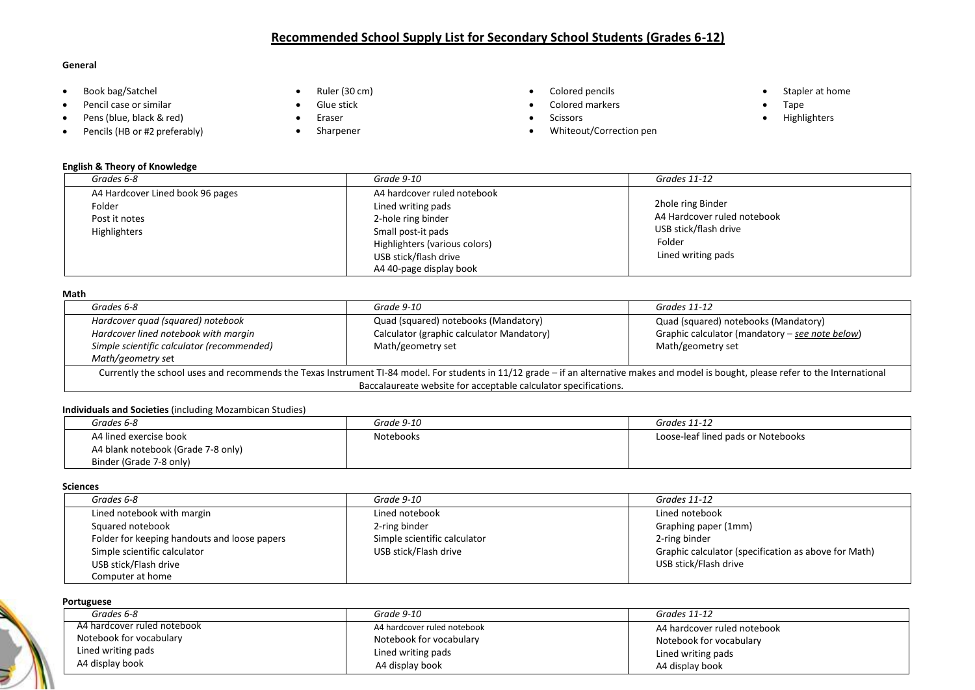# **Recommended School Supply List for Secondary School Students (Grades 6-12)**

## **General**

- Book bag/Satchel
- Pencil case or similar
- Pens (blue, black & red)
- Pencils (HB or #2 preferably)
- Ruler (30 cm)
- Glue stick
- Eraser
- Sharpener
- Colored pencils
- Colored markers
- Scissors
- Whiteout/Correction pen
- Stapler at home
- Tape
- Highlighters

| <b>English &amp; Theory of Knowledge</b>                                    |                                                                                                                                                                                    |                                                                                                           |
|-----------------------------------------------------------------------------|------------------------------------------------------------------------------------------------------------------------------------------------------------------------------------|-----------------------------------------------------------------------------------------------------------|
| Grades 6-8                                                                  | Grade 9-10                                                                                                                                                                         | Grades 11-12                                                                                              |
| A4 Hardcover Lined book 96 pages<br>Folder<br>Post it notes<br>Highlighters | A4 hardcover ruled notebook<br>Lined writing pads<br>2-hole ring binder<br>Small post-it pads<br>Highlighters (various colors)<br>USB stick/flash drive<br>A4 40-page display book | 2hole ring Binder<br>A4 Hardcover ruled notebook<br>USB stick/flash drive<br>Folder<br>Lined writing pads |

#### **Math**

| Grades 6-8                                                      | Grade 9-10                                                                                                                                                                              | Grades 11-12                                    |
|-----------------------------------------------------------------|-----------------------------------------------------------------------------------------------------------------------------------------------------------------------------------------|-------------------------------------------------|
| Hardcover quad (squared) notebook                               | Quad (squared) notebooks (Mandatory)                                                                                                                                                    | Quad (squared) notebooks (Mandatory)            |
| Hardcover lined notebook with margin                            | Calculator (graphic calculator Mandatory)                                                                                                                                               | Graphic calculator (mandatory - see note below) |
| Simple scientific calculator (recommended)                      | Math/geometry set                                                                                                                                                                       | Math/geometry set                               |
| Math/geometry set                                               |                                                                                                                                                                                         |                                                 |
|                                                                 | Currently the school uses and recommends the Texas Instrument TI-84 model. For students in 11/12 grade - if an alternative makes and model is bought, please refer to the International |                                                 |
| Baccalaureate website for acceptable calculator specifications. |                                                                                                                                                                                         |                                                 |

# **Individuals and Societies** (including Mozambican Studies)

| Grades 6-8                         | Grade 9-10 | Grades 11-12                       |
|------------------------------------|------------|------------------------------------|
| A4 lined exercise book             | Notebooks  | Loose-leaf lined pads or Notebooks |
| A4 blank notebook (Grade 7-8 only) |            |                                    |
| Binder (Grade 7-8 only)            |            |                                    |

## **Sciences**

| Grades 6-8                                   | Grade 9-10                   | Grades 11-12                                         |
|----------------------------------------------|------------------------------|------------------------------------------------------|
| Lined notebook with margin                   | Lined notebook               | Lined notebook                                       |
| Squared notebook                             | 2-ring binder                | Graphing paper (1mm)                                 |
| Folder for keeping handouts and loose papers | Simple scientific calculator | 2-ring binder                                        |
| Simple scientific calculator                 | USB stick/Flash drive        | Graphic calculator (specification as above for Math) |
| USB stick/Flash drive                        |                              | USB stick/Flash drive                                |
| Computer at home                             |                              |                                                      |

#### **Portuguese**

| Grades 6-8                  | Grade 9-10                  | Grades 11-12                |
|-----------------------------|-----------------------------|-----------------------------|
| A4 hardcover ruled notebook | A4 hardcover ruled notebook | A4 hardcover ruled notebook |
| Notebook for vocabulary     | Notebook for vocabulary     | Notebook for vocabulary     |
| Lined writing pads          | Lined writing pads          | Lined writing pads          |
| A4 display book             | A4 display book             | A4 display book             |